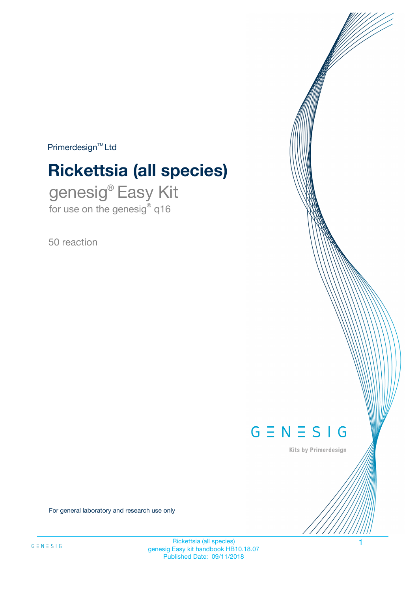$Primerdesign^{\text{TM}}Ltd$ 

# **Rickettsia (all species)**

genesig® Easy Kit for use on the genesig® q16

50 reaction



Kits by Primerdesign

For general laboratory and research use only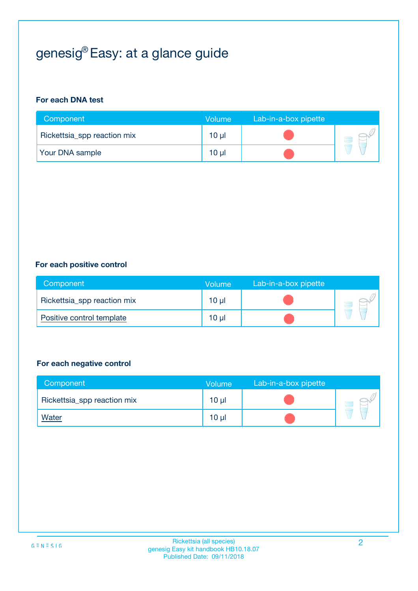## genesig® Easy: at a glance guide

#### **For each DNA test**

| Component                   | <b>Volume</b> | Lab-in-a-box pipette |  |
|-----------------------------|---------------|----------------------|--|
| Rickettsia_spp reaction mix | $10 \mu$      |                      |  |
| <b>Your DNA sample</b>      | 10 µl         |                      |  |

#### **For each positive control**

| Component                   | Volume          | Lab-in-a-box pipette |  |
|-----------------------------|-----------------|----------------------|--|
| Rickettsia_spp reaction mix | 10 <sub>µ</sub> |                      |  |
| Positive control template   | $10 \mu$        |                      |  |

#### **For each negative control**

| Component                   | <b>Volume</b>   | Lab-in-a-box pipette |  |
|-----------------------------|-----------------|----------------------|--|
| Rickettsia_spp reaction mix | 10 <sub>µ</sub> |                      |  |
| <u>Water</u>                | 10 <sub>µ</sub> |                      |  |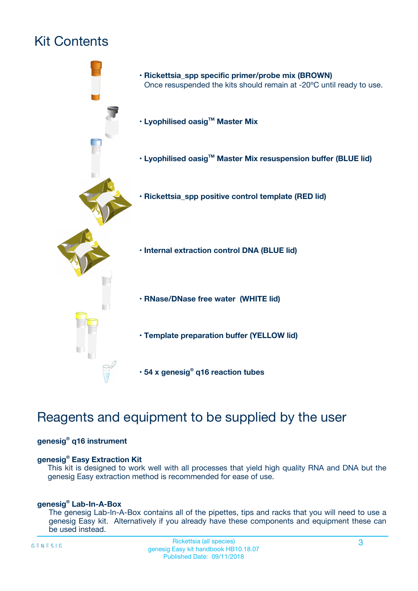## Kit Contents



## Reagents and equipment to be supplied by the user

#### **genesig® q16 instrument**

#### **genesig® Easy Extraction Kit**

This kit is designed to work well with all processes that yield high quality RNA and DNA but the genesig Easy extraction method is recommended for ease of use.

#### **genesig® Lab-In-A-Box**

The genesig Lab-In-A-Box contains all of the pipettes, tips and racks that you will need to use a genesig Easy kit. Alternatively if you already have these components and equipment these can be used instead.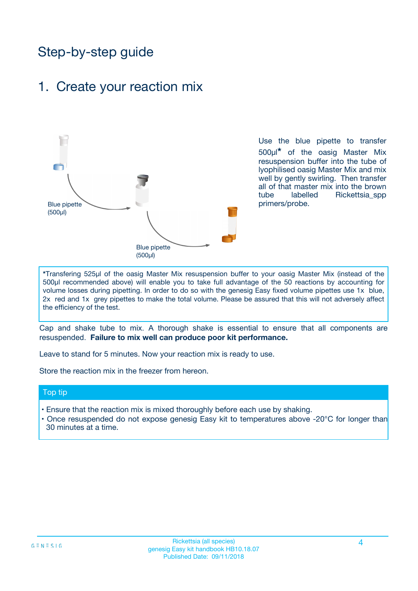## Step-by-step guide

### 1. Create your reaction mix



Use the blue pipette to transfer 500µl**\*** of the oasig Master Mix resuspension buffer into the tube of lyophilised oasig Master Mix and mix well by gently swirling. Then transfer all of that master mix into the brown tube labelled Rickettsia spp primers/probe.

**\***Transfering 525µl of the oasig Master Mix resuspension buffer to your oasig Master Mix (instead of the 500µl recommended above) will enable you to take full advantage of the 50 reactions by accounting for volume losses during pipetting. In order to do so with the genesig Easy fixed volume pipettes use 1x blue, 2x red and 1x grey pipettes to make the total volume. Please be assured that this will not adversely affect the efficiency of the test.

Cap and shake tube to mix. A thorough shake is essential to ensure that all components are resuspended. **Failure to mix well can produce poor kit performance.**

Leave to stand for 5 minutes. Now your reaction mix is ready to use.

Store the reaction mix in the freezer from hereon.

#### Top tip

- Ensure that the reaction mix is mixed thoroughly before each use by shaking.
- **•** Once resuspended do not expose genesig Easy kit to temperatures above -20°C for longer than 30 minutes at a time.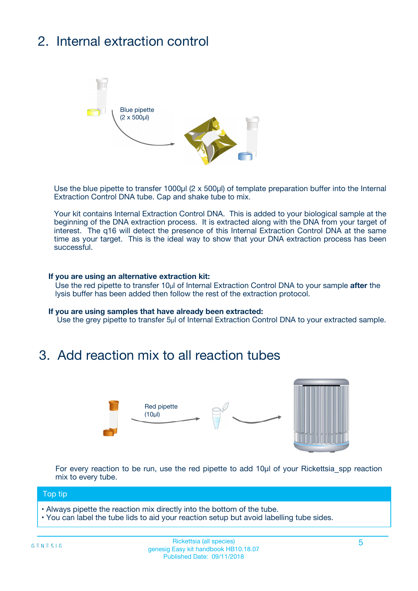## 2. Internal extraction control



Use the blue pipette to transfer 1000µl (2 x 500µl) of template preparation buffer into the Internal Extraction Control DNA tube. Cap and shake tube to mix.

Your kit contains Internal Extraction Control DNA. This is added to your biological sample at the beginning of the DNA extraction process. It is extracted along with the DNA from your target of interest. The q16 will detect the presence of this Internal Extraction Control DNA at the same time as your target. This is the ideal way to show that your DNA extraction process has been **successful.** 

#### **If you are using an alternative extraction kit:**

Use the red pipette to transfer 10µl of Internal Extraction Control DNA to your sample **after** the lysis buffer has been added then follow the rest of the extraction protocol.

#### **If you are using samples that have already been extracted:**

Use the grey pipette to transfer 5µl of Internal Extraction Control DNA to your extracted sample.

### 3. Add reaction mix to all reaction tubes



For every reaction to be run, use the red pipette to add 10µl of your Rickettsia\_spp reaction mix to every tube.

#### Top tip

- Always pipette the reaction mix directly into the bottom of the tube.
- You can label the tube lids to aid your reaction setup but avoid labelling tube sides.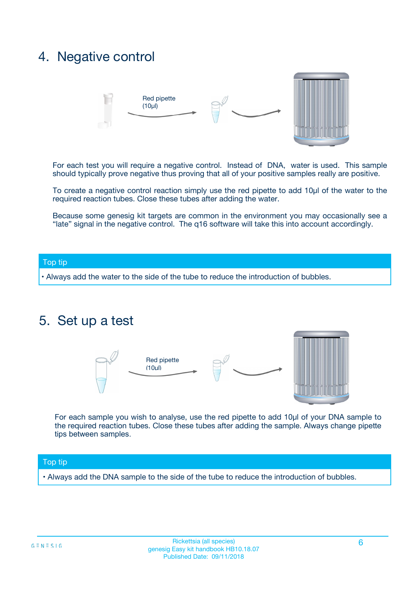### 4. Negative control



For each test you will require a negative control. Instead of DNA, water is used. This sample should typically prove negative thus proving that all of your positive samples really are positive.

To create a negative control reaction simply use the red pipette to add 10µl of the water to the required reaction tubes. Close these tubes after adding the water.

Because some genesig kit targets are common in the environment you may occasionally see a "late" signal in the negative control. The q16 software will take this into account accordingly.

#### Top tip

**•** Always add the water to the side of the tube to reduce the introduction of bubbles.

### 5. Set up a test



For each sample you wish to analyse, use the red pipette to add 10µl of your DNA sample to the required reaction tubes. Close these tubes after adding the sample. Always change pipette tips between samples.

#### Top tip

**•** Always add the DNA sample to the side of the tube to reduce the introduction of bubbles.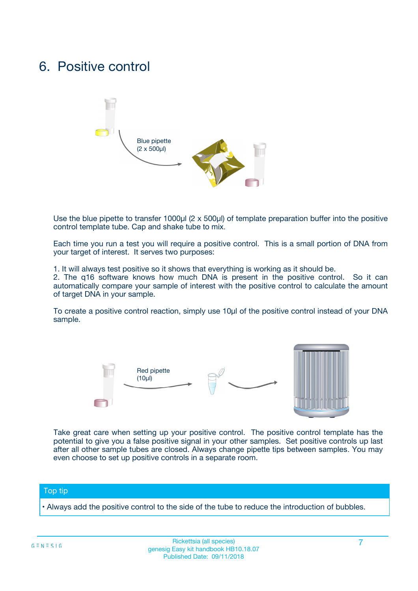### 6. Positive control



Use the blue pipette to transfer 1000µl (2 x 500µl) of template preparation buffer into the positive control template tube. Cap and shake tube to mix.

Each time you run a test you will require a positive control. This is a small portion of DNA from your target of interest. It serves two purposes:

1. It will always test positive so it shows that everything is working as it should be.

2. The q16 software knows how much DNA is present in the positive control. So it can automatically compare your sample of interest with the positive control to calculate the amount of target DNA in your sample.

To create a positive control reaction, simply use 10µl of the positive control instead of your DNA sample.



Take great care when setting up your positive control. The positive control template has the potential to give you a false positive signal in your other samples. Set positive controls up last after all other sample tubes are closed. Always change pipette tips between samples. You may even choose to set up positive controls in a separate room.

#### Top tip

**•** Always add the positive control to the side of the tube to reduce the introduction of bubbles.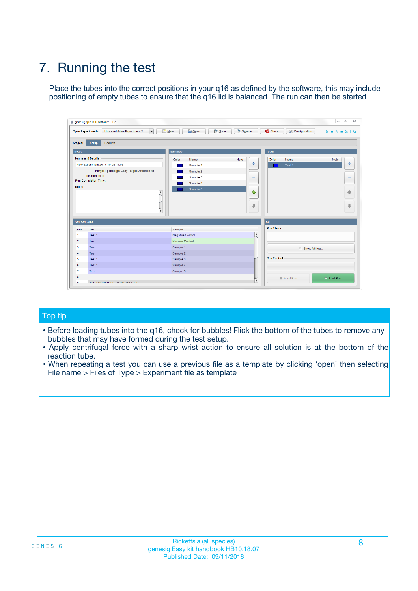## 7. Running the test

Place the tubes into the correct positions in your q16 as defined by the software, this may include positioning of empty tubes to ensure that the q16 lid is balanced. The run can then be started.

|                      | genesig q16 PCR software - 1.2                                               |                                |                              |                                          | $\begin{array}{c c c c} \hline \multicolumn{3}{c }{\textbf{0}} & \multicolumn{3}{c }{\textbf{0}} \end{array}$<br>$\Sigma\!3$ |
|----------------------|------------------------------------------------------------------------------|--------------------------------|------------------------------|------------------------------------------|------------------------------------------------------------------------------------------------------------------------------|
|                      | $\vert \cdot \vert$<br><b>Open Experiments:</b><br>Unsaved (New Experiment 2 | Open<br>Save<br>$\sqrt{9}$ New | Save As                      | <b>C</b> Close<br><b>X</b> Configuration | $G \equiv N \equiv S \mid G$                                                                                                 |
| <b>Stages:</b>       | Setup<br><b>Results</b>                                                      |                                |                              |                                          |                                                                                                                              |
| <b>Notes</b>         |                                                                              | <b>Samples</b>                 |                              | <b>Tests</b>                             |                                                                                                                              |
|                      | <b>Name and Details</b>                                                      | Color<br>Name                  | Note                         | Color<br>Name                            | Note                                                                                                                         |
|                      | New Experiment 2017-10-26 11:06                                              | Sample 1                       | ÷                            | Test 1                                   | ÷                                                                                                                            |
|                      | Kit type: genesig® Easy Target Detection kit                                 | Sample 2                       |                              |                                          |                                                                                                                              |
|                      | Instrument Id.:                                                              | Sample 3                       | $\qquad \qquad \blacksquare$ |                                          | $\qquad \qquad \blacksquare$                                                                                                 |
|                      | <b>Run Completion Time:</b>                                                  | Sample 4                       |                              |                                          |                                                                                                                              |
| <b>Notes</b>         | <b>A</b><br>v                                                                | Sample 5                       | $\triangle$<br>$\oplus$      |                                          | 4<br>₩                                                                                                                       |
| <b>Well Contents</b> |                                                                              |                                |                              | Run                                      |                                                                                                                              |
| Pos.                 | Test                                                                         | Sample                         |                              | <b>Run Status</b>                        |                                                                                                                              |
| $\overline{1}$       | Test 1                                                                       | <b>Negative Control</b>        | $\blacktriangle$             |                                          |                                                                                                                              |
| $\overline{2}$       | Test 1                                                                       | <b>Positive Control</b>        |                              |                                          |                                                                                                                              |
| 3                    | Test 1                                                                       | Sample 1                       |                              | Show full log                            |                                                                                                                              |
| $\overline{4}$       | Test 1                                                                       | Sample 2                       |                              |                                          |                                                                                                                              |
| 5                    | Test 1                                                                       | Sample 3                       |                              | <b>Run Control</b>                       |                                                                                                                              |
| 6                    | Test 1                                                                       | Sample 4                       |                              |                                          |                                                                                                                              |
| $\overline{7}$       | Test 1                                                                       | Sample 5                       |                              |                                          |                                                                                                                              |
| -8                   |                                                                              |                                |                              | Abort Run                                | $\triangleright$ Start Run                                                                                                   |
|                      | <b>JOB FURTY TURE TO BULLMAR LIB</b>                                         |                                | $\overline{\mathbf{v}}$      |                                          |                                                                                                                              |

#### Top tip

- Before loading tubes into the q16, check for bubbles! Flick the bottom of the tubes to remove any bubbles that may have formed during the test setup.
- Apply centrifugal force with a sharp wrist action to ensure all solution is at the bottom of the reaction tube.
- When repeating a test you can use a previous file as a template by clicking 'open' then selecting File name > Files of Type > Experiment file as template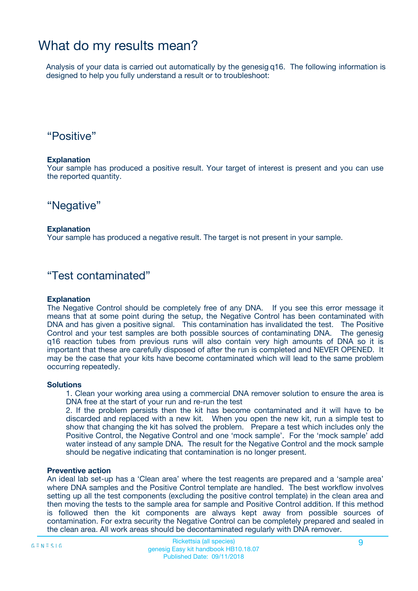### What do my results mean?

Analysis of your data is carried out automatically by the genesig q16. The following information is designed to help you fully understand a result or to troubleshoot:

### "Positive"

#### **Explanation**

Your sample has produced a positive result. Your target of interest is present and you can use the reported quantity.

"Negative"

#### **Explanation**

Your sample has produced a negative result. The target is not present in your sample.

### "Test contaminated"

#### **Explanation**

The Negative Control should be completely free of any DNA. If you see this error message it means that at some point during the setup, the Negative Control has been contaminated with DNA and has given a positive signal. This contamination has invalidated the test. The Positive Control and your test samples are both possible sources of contaminating DNA. The genesig q16 reaction tubes from previous runs will also contain very high amounts of DNA so it is important that these are carefully disposed of after the run is completed and NEVER OPENED. It may be the case that your kits have become contaminated which will lead to the same problem occurring repeatedly.

#### **Solutions**

1. Clean your working area using a commercial DNA remover solution to ensure the area is DNA free at the start of your run and re-run the test

2. If the problem persists then the kit has become contaminated and it will have to be discarded and replaced with a new kit. When you open the new kit, run a simple test to show that changing the kit has solved the problem. Prepare a test which includes only the Positive Control, the Negative Control and one 'mock sample'. For the 'mock sample' add water instead of any sample DNA. The result for the Negative Control and the mock sample should be negative indicating that contamination is no longer present.

#### **Preventive action**

An ideal lab set-up has a 'Clean area' where the test reagents are prepared and a 'sample area' where DNA samples and the Positive Control template are handled. The best workflow involves setting up all the test components (excluding the positive control template) in the clean area and then moving the tests to the sample area for sample and Positive Control addition. If this method is followed then the kit components are always kept away from possible sources of contamination. For extra security the Negative Control can be completely prepared and sealed in the clean area. All work areas should be decontaminated regularly with DNA remover.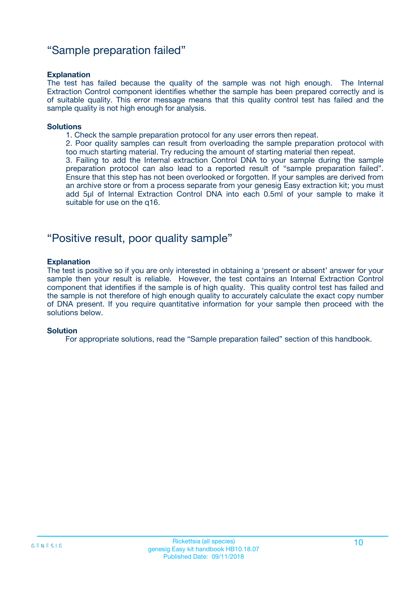### "Sample preparation failed"

#### **Explanation**

The test has failed because the quality of the sample was not high enough. The Internal Extraction Control component identifies whether the sample has been prepared correctly and is of suitable quality. This error message means that this quality control test has failed and the sample quality is not high enough for analysis.

#### **Solutions**

1. Check the sample preparation protocol for any user errors then repeat.

2. Poor quality samples can result from overloading the sample preparation protocol with too much starting material. Try reducing the amount of starting material then repeat.

3. Failing to add the Internal extraction Control DNA to your sample during the sample preparation protocol can also lead to a reported result of "sample preparation failed". Ensure that this step has not been overlooked or forgotten. If your samples are derived from an archive store or from a process separate from your genesig Easy extraction kit; you must add 5µl of Internal Extraction Control DNA into each 0.5ml of your sample to make it suitable for use on the q16.

### "Positive result, poor quality sample"

#### **Explanation**

The test is positive so if you are only interested in obtaining a 'present or absent' answer for your sample then your result is reliable. However, the test contains an Internal Extraction Control component that identifies if the sample is of high quality. This quality control test has failed and the sample is not therefore of high enough quality to accurately calculate the exact copy number of DNA present. If you require quantitative information for your sample then proceed with the solutions below.

#### **Solution**

For appropriate solutions, read the "Sample preparation failed" section of this handbook.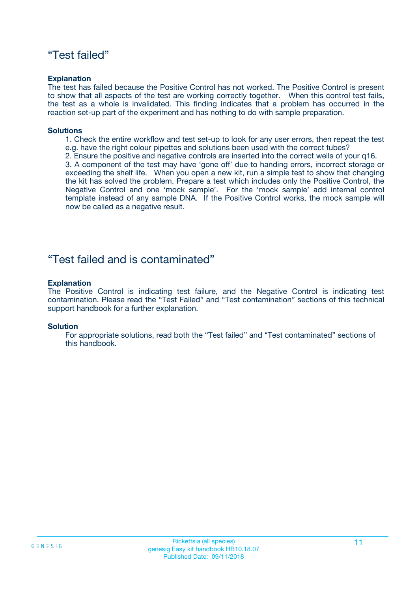### "Test failed"

#### **Explanation**

The test has failed because the Positive Control has not worked. The Positive Control is present to show that all aspects of the test are working correctly together. When this control test fails, the test as a whole is invalidated. This finding indicates that a problem has occurred in the reaction set-up part of the experiment and has nothing to do with sample preparation.

#### **Solutions**

- 1. Check the entire workflow and test set-up to look for any user errors, then repeat the test e.g. have the right colour pipettes and solutions been used with the correct tubes?
- 2. Ensure the positive and negative controls are inserted into the correct wells of your q16.

3. A component of the test may have 'gone off' due to handing errors, incorrect storage or exceeding the shelf life. When you open a new kit, run a simple test to show that changing the kit has solved the problem. Prepare a test which includes only the Positive Control, the Negative Control and one 'mock sample'. For the 'mock sample' add internal control template instead of any sample DNA. If the Positive Control works, the mock sample will now be called as a negative result.

### "Test failed and is contaminated"

#### **Explanation**

The Positive Control is indicating test failure, and the Negative Control is indicating test contamination. Please read the "Test Failed" and "Test contamination" sections of this technical support handbook for a further explanation.

#### **Solution**

For appropriate solutions, read both the "Test failed" and "Test contaminated" sections of this handbook.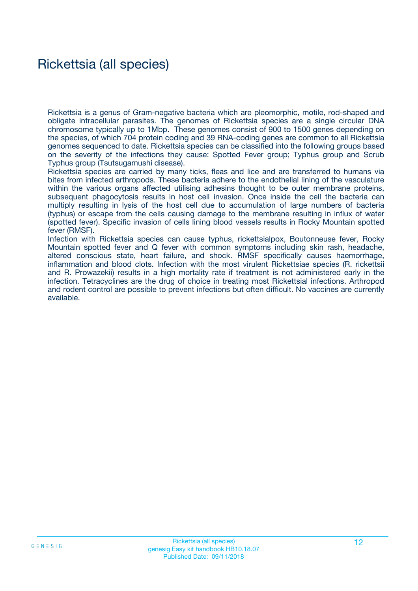### Rickettsia (all species)

Rickettsia is a genus of Gram-negative bacteria which are pleomorphic, motile, rod-shaped and obligate intracellular parasites. The genomes of Rickettsia species are a single circular DNA chromosome typically up to 1Mbp. These genomes consist of 900 to 1500 genes depending on the species, of which 704 protein coding and 39 RNA-coding genes are common to all Rickettsia genomes sequenced to date. Rickettsia species can be classified into the following groups based on the severity of the infections they cause: Spotted Fever group; Typhus group and Scrub Typhus group (Tsutsugamushi disease).

Rickettsia species are carried by many ticks, fleas and lice and are transferred to humans via bites from infected arthropods. These bacteria adhere to the endothelial lining of the vasculature within the various organs affected utilising adhesins thought to be outer membrane proteins, subsequent phagocytosis results in host cell invasion. Once inside the cell the bacteria can multiply resulting in lysis of the host cell due to accumulation of large numbers of bacteria (typhus) or escape from the cells causing damage to the membrane resulting in influx of water (spotted fever). Specific invasion of cells lining blood vessels results in Rocky Mountain spotted fever (RMSF).

Infection with Rickettsia species can cause typhus, rickettsialpox, Boutonneuse fever, Rocky Mountain spotted fever and Q fever with common symptoms including skin rash, headache, altered conscious state, heart failure, and shock. RMSF specifically causes haemorrhage, inflammation and blood clots. Infection with the most virulent Rickettsiae species (R. rickettsii and R. Prowazekii) results in a high mortality rate if treatment is not administered early in the infection. Tetracyclines are the drug of choice in treating most Rickettsial infections. Arthropod and rodent control are possible to prevent infections but often difficult. No vaccines are currently available.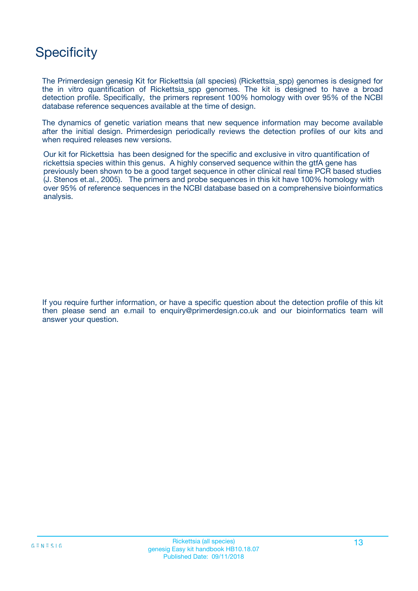## **Specificity**

The Primerdesign genesig Kit for Rickettsia (all species) (Rickettsia\_spp) genomes is designed for the in vitro quantification of Rickettsia\_spp genomes. The kit is designed to have a broad detection profile. Specifically, the primers represent 100% homology with over 95% of the NCBI database reference sequences available at the time of design.

The dynamics of genetic variation means that new sequence information may become available after the initial design. Primerdesign periodically reviews the detection profiles of our kits and when required releases new versions.

Our kit for Rickettsia has been designed for the specific and exclusive in vitro quantification of rickettsia species within this genus. A highly conserved sequence within the gtfA gene has previously been shown to be a good target sequence in other clinical real time PCR based studies (J. Stenos et.al., 2005). The primers and probe sequences in this kit have 100% homology with over 95% of reference sequences in the NCBI database based on a comprehensive bioinformatics analysis.

If you require further information, or have a specific question about the detection profile of this kit then please send an e.mail to enquiry@primerdesign.co.uk and our bioinformatics team will answer your question.